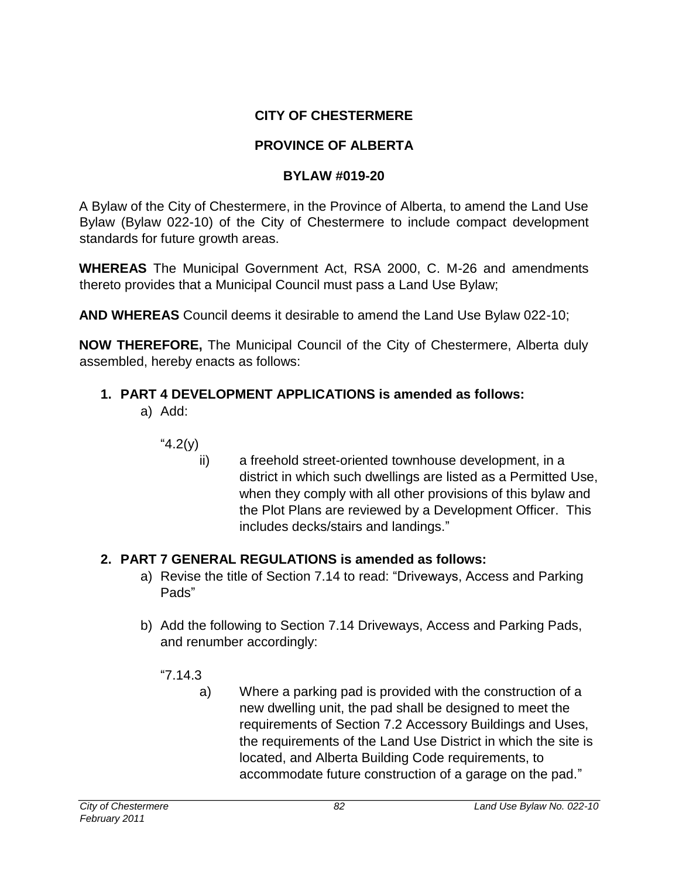# **CITY OF CHESTERMERE**

# **PROVINCE OF ALBERTA**

# **BYLAW #019-20**

A Bylaw of the City of Chestermere, in the Province of Alberta, to amend the Land Use Bylaw (Bylaw 022-10) of the City of Chestermere to include compact development standards for future growth areas.

**WHEREAS** The Municipal Government Act, RSA 2000, C. M-26 and amendments thereto provides that a Municipal Council must pass a Land Use Bylaw;

**AND WHEREAS** Council deems it desirable to amend the Land Use Bylaw 022-10;

**NOW THEREFORE,** The Municipal Council of the City of Chestermere, Alberta duly assembled, hereby enacts as follows:

# **1. PART 4 DEVELOPMENT APPLICATIONS is amended as follows:**

- a) Add:
	- "4.2(y)
		- ii) a freehold street-oriented townhouse development, in a district in which such dwellings are listed as a Permitted Use, when they comply with all other provisions of this bylaw and the Plot Plans are reviewed by a Development Officer. This includes decks/stairs and landings."

# **2. PART 7 GENERAL REGULATIONS is amended as follows:**

- a) Revise the title of Section 7.14 to read: "Driveways, Access and Parking Pads"
- b) Add the following to Section 7.14 Driveways, Access and Parking Pads, and renumber accordingly:
	- "7.14.3
		- a) Where a parking pad is provided with the construction of a new dwelling unit, the pad shall be designed to meet the requirements of Section 7.2 Accessory Buildings and Uses, the requirements of the Land Use District in which the site is located, and Alberta Building Code requirements, to accommodate future construction of a garage on the pad."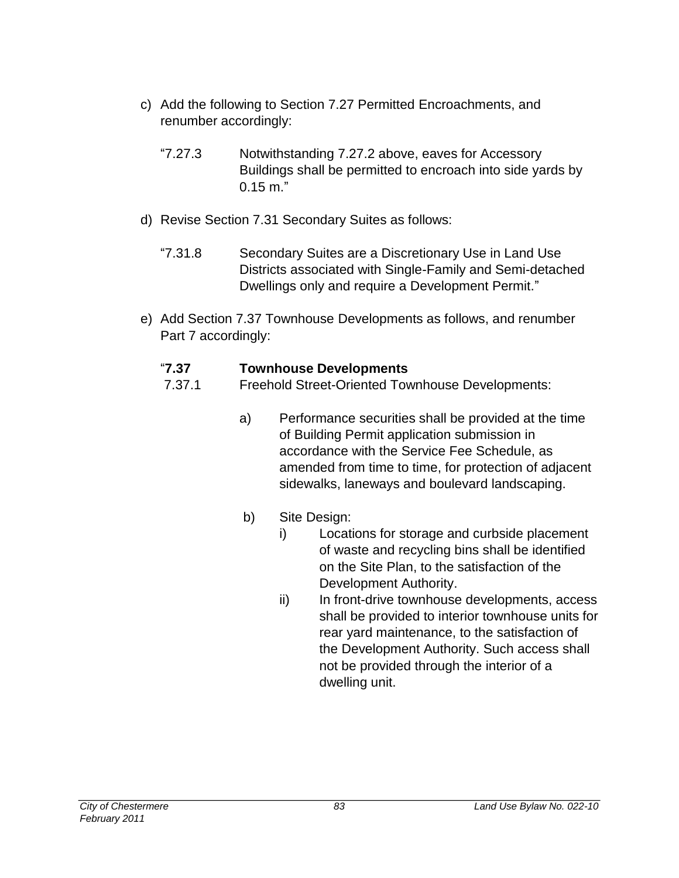- c) Add the following to Section 7.27 Permitted Encroachments, and renumber accordingly:
	- "7.27.3 Notwithstanding 7.27.2 above, eaves for Accessory Buildings shall be permitted to encroach into side yards by  $0.15$  m."
- d) Revise Section 7.31 Secondary Suites as follows:
	- "7.31.8 Secondary Suites are a Discretionary Use in Land Use Districts associated with Single-Family and Semi-detached Dwellings only and require a Development Permit."
- e) Add Section 7.37 Townhouse Developments as follows, and renumber Part 7 accordingly:

# "**7.37 Townhouse Developments**

- 7.37.1 Freehold Street-Oriented Townhouse Developments:
	- a) Performance securities shall be provided at the time of Building Permit application submission in accordance with the Service Fee Schedule, as amended from time to time, for protection of adjacent sidewalks, laneways and boulevard landscaping.
	- b) Site Design:
		- i) Locations for storage and curbside placement of waste and recycling bins shall be identified on the Site Plan, to the satisfaction of the Development Authority.
		- ii) In front-drive townhouse developments, access shall be provided to interior townhouse units for rear yard maintenance, to the satisfaction of the Development Authority. Such access shall not be provided through the interior of a dwelling unit.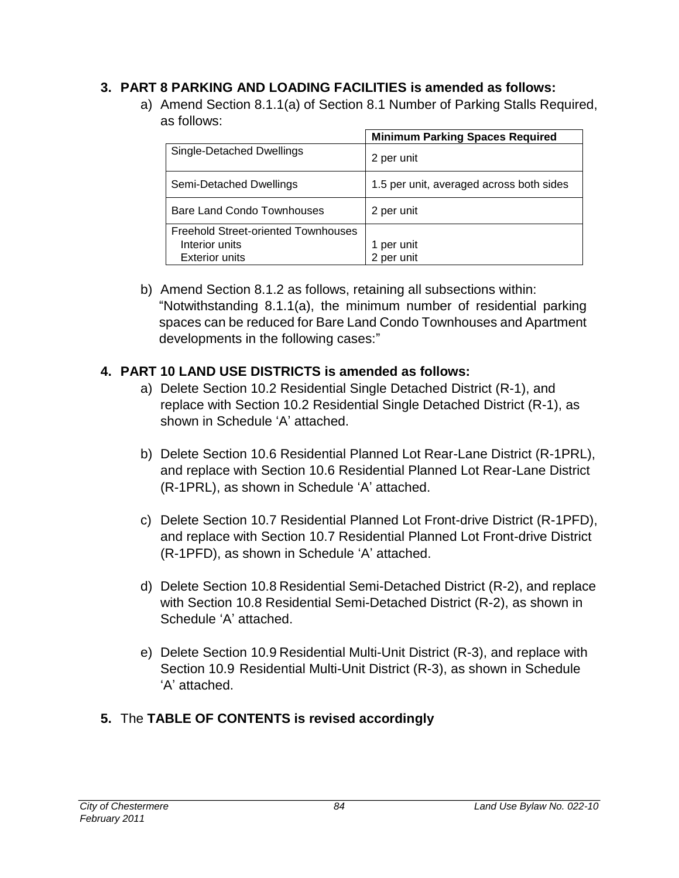# **3. PART 8 PARKING AND LOADING FACILITIES is amended as follows:**

a) Amend Section 8.1.1(a) of Section 8.1 Number of Parking Stalls Required, as follows:

|                                            | <b>Minimum Parking Spaces Required</b>   |
|--------------------------------------------|------------------------------------------|
| Single-Detached Dwellings                  | 2 per unit                               |
| Semi-Detached Dwellings                    | 1.5 per unit, averaged across both sides |
| Bare Land Condo Townhouses                 | 2 per unit                               |
| <b>Freehold Street-oriented Townhouses</b> |                                          |
| Interior units                             | per unit                                 |
| <b>Exterior units</b>                      | 2 per unit                               |

b) Amend Section 8.1.2 as follows, retaining all subsections within: "Notwithstanding 8.1.1(a), the minimum number of residential parking spaces can be reduced for Bare Land Condo Townhouses and Apartment developments in the following cases:"

# **4. PART 10 LAND USE DISTRICTS is amended as follows:**

- a) Delete Section 10.2 Residential Single Detached District (R-1), and replace with Section 10.2 Residential Single Detached District (R-1), as shown in Schedule 'A' attached.
- b) Delete Section 10.6 Residential Planned Lot Rear-Lane District (R-1PRL), and replace with Section 10.6 Residential Planned Lot Rear-Lane District (R-1PRL), as shown in Schedule 'A' attached.
- c) Delete Section 10.7 Residential Planned Lot Front-drive District (R-1PFD), and replace with Section 10.7 Residential Planned Lot Front-drive District (R-1PFD), as shown in Schedule 'A' attached.
- d) Delete Section 10.8 Residential Semi-Detached District (R-2), and replace with Section 10.8 Residential Semi-Detached District (R-2), as shown in Schedule 'A' attached.
- e) Delete Section 10.9 Residential Multi-Unit District (R-3), and replace with Section 10.9 Residential Multi-Unit District (R-3), as shown in Schedule 'A' attached.

# **5.** The **TABLE OF CONTENTS is revised accordingly**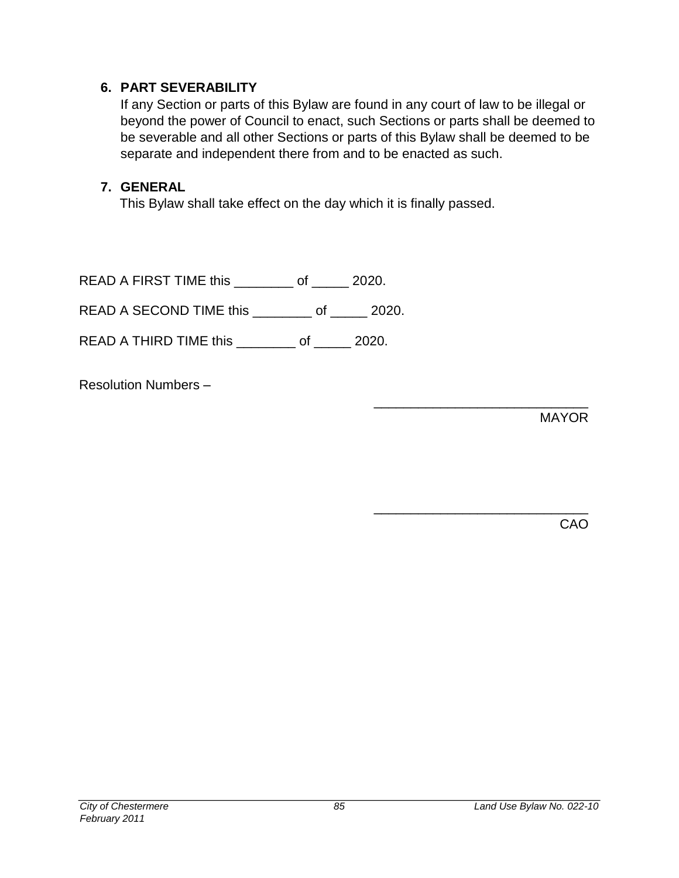## **6. PART SEVERABILITY**

If any Section or parts of this Bylaw are found in any court of law to be illegal or beyond the power of Council to enact, such Sections or parts shall be deemed to be severable and all other Sections or parts of this Bylaw shall be deemed to be separate and independent there from and to be enacted as such.

## **7. GENERAL**

This Bylaw shall take effect on the day which it is finally passed.

READ A FIRST TIME this \_\_\_\_\_\_\_\_ of \_\_\_\_\_ 2020.

READ A SECOND TIME this \_\_\_\_\_\_\_ of \_\_\_\_\_ 2020.

READ A THIRD TIME this \_\_\_\_\_\_\_\_ of \_\_\_\_\_ 2020.

Resolution Numbers –

MAYOR

\_\_\_\_\_\_\_\_\_\_\_\_\_\_\_\_\_\_\_\_\_\_\_\_\_\_\_\_\_

\_\_\_\_\_\_\_\_\_\_\_\_\_\_\_\_\_\_\_\_\_\_\_\_\_\_\_\_\_

CAO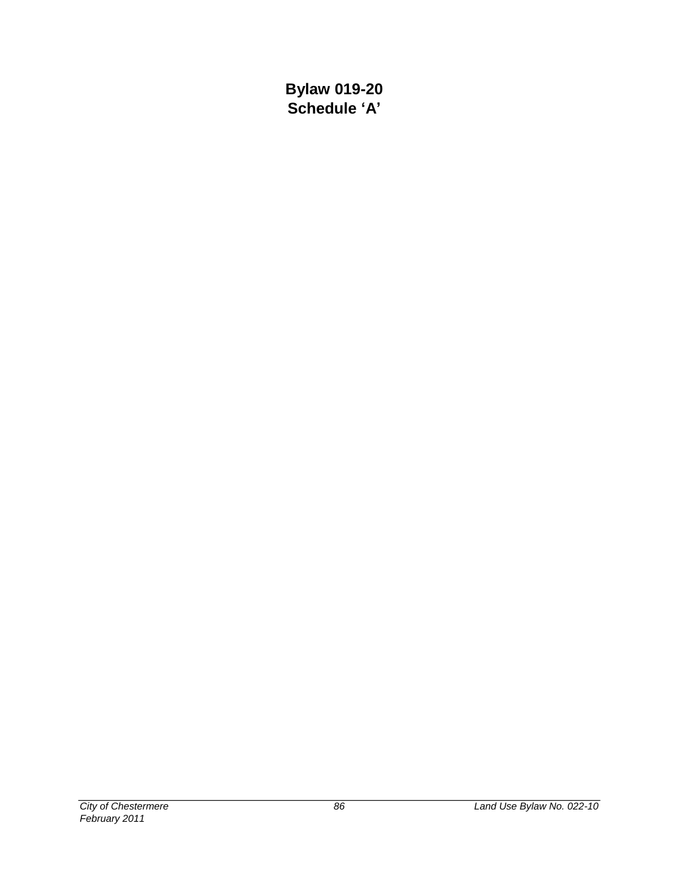**Bylaw 019-20 Schedule 'A'**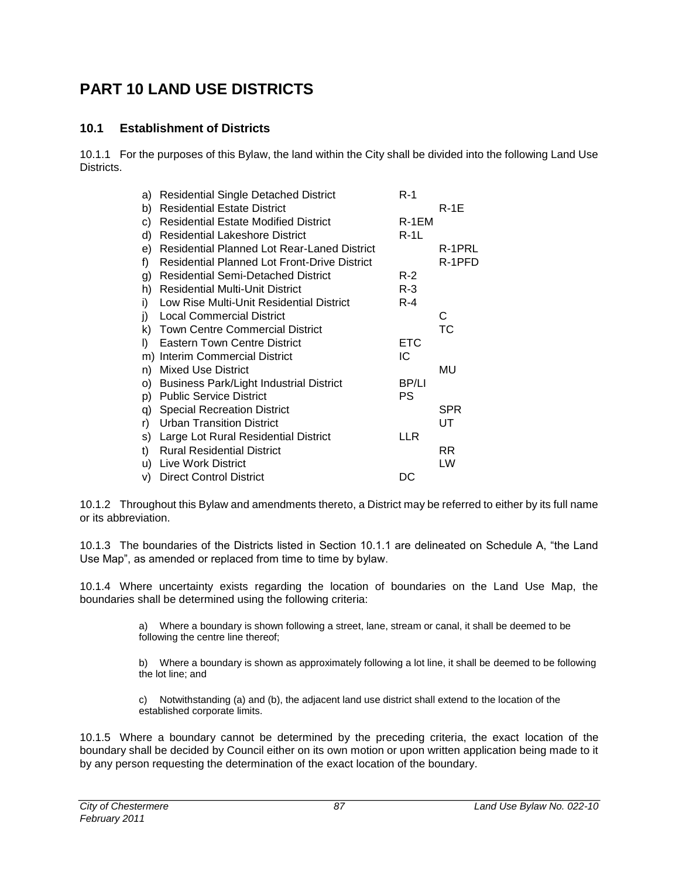# **PART 10 LAND USE DISTRICTS**

### **10.1 Establishment of Districts**

10.1.1 For the purposes of this Bylaw, the land within the City shall be divided into the following Land Use Districts.

| a) | <b>Residential Single Detached District</b>         | $R-1$      |            |
|----|-----------------------------------------------------|------------|------------|
| b) | <b>Residential Estate District</b>                  |            | R-1E       |
| C) | <b>Residential Estate Modified District</b>         | R-1EM      |            |
| d) | <b>Residential Lakeshore District</b>               | $R-1L$     |            |
| e) | <b>Residential Planned Lot Rear-Laned District</b>  |            | R-1PRL     |
| f) | <b>Residential Planned Lot Front-Drive District</b> |            | R-1PFD     |
| g) | <b>Residential Semi-Detached District</b>           | $R-2$      |            |
| h) | <b>Residential Multi-Unit District</b>              | $R-3$      |            |
| i) | Low Rise Multi-Unit Residential District            | $R - 4$    |            |
| j) | <b>Local Commercial District</b>                    |            | С          |
| k) | <b>Town Centre Commercial District</b>              |            | ТC         |
| I) | <b>Eastern Town Centre District</b>                 | <b>ETC</b> |            |
| m) | <b>Interim Commercial District</b>                  | IC         |            |
| n) | <b>Mixed Use District</b>                           |            | MU         |
| O) | <b>Business Park/Light Industrial District</b>      | BP/LI      |            |
| p) | <b>Public Service District</b>                      | PS         |            |
| q) | <b>Special Recreation District</b>                  |            | <b>SPR</b> |
| r) | <b>Urban Transition District</b>                    |            | UT         |
| s) | Large Lot Rural Residential District                | LLR        |            |
| t) | <b>Rural Residential District</b>                   |            | RR         |
| u) | <b>Live Work District</b>                           |            | LW         |
| V) | <b>Direct Control District</b>                      | DC         |            |

10.1.2 Throughout this Bylaw and amendments thereto, a District may be referred to either by its full name or its abbreviation.

10.1.3 The boundaries of the Districts listed in Section 10.1.1 are delineated on Schedule A, "the Land Use Map", as amended or replaced from time to time by bylaw.

10.1.4 Where uncertainty exists regarding the location of boundaries on the Land Use Map, the boundaries shall be determined using the following criteria:

> a) Where a boundary is shown following a street, lane, stream or canal, it shall be deemed to be following the centre line thereof;

b) Where a boundary is shown as approximately following a lot line, it shall be deemed to be following the lot line; and

c) Notwithstanding (a) and (b), the adjacent land use district shall extend to the location of the established corporate limits.

10.1.5 Where a boundary cannot be determined by the preceding criteria, the exact location of the boundary shall be decided by Council either on its own motion or upon written application being made to it by any person requesting the determination of the exact location of the boundary.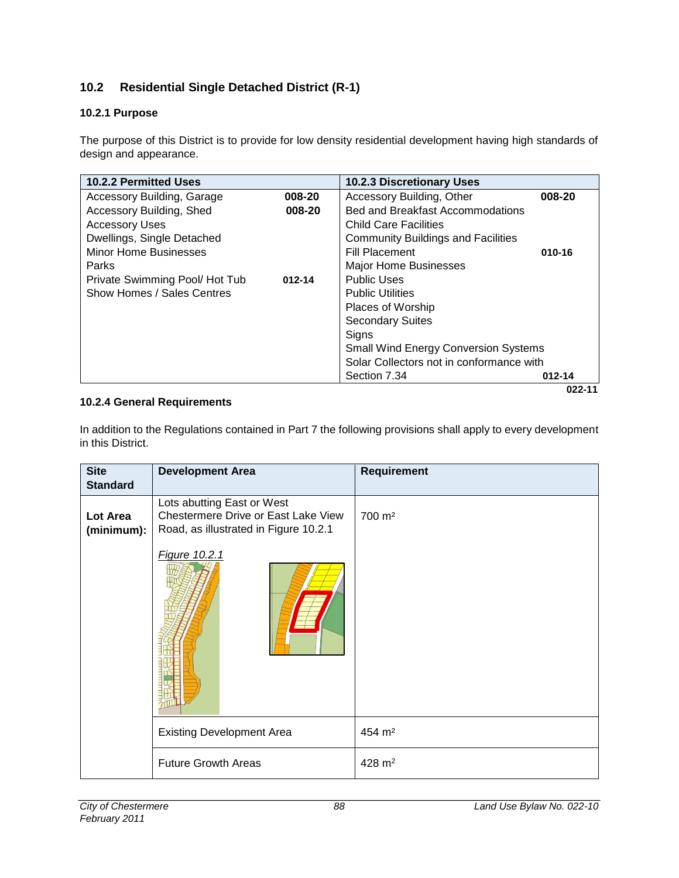## **10.2 Residential Single Detached District (R-1)**

### **10.2.1 Purpose**

The purpose of this District is to provide for low density residential development having high standards of design and appearance.

| 10.2.2 Permitted Uses             |            | <b>10.2.3 Discretionary Uses</b>            |            |
|-----------------------------------|------------|---------------------------------------------|------------|
| <b>Accessory Building, Garage</b> | 008-20     | Accessory Building, Other                   | 008-20     |
| Accessory Building, Shed          | 008-20     | Bed and Breakfast Accommodations            |            |
| <b>Accessory Uses</b>             |            | <b>Child Care Facilities</b>                |            |
| Dwellings, Single Detached        |            | <b>Community Buildings and Facilities</b>   |            |
| <b>Minor Home Businesses</b>      |            | <b>Fill Placement</b>                       | 010-16     |
| <b>Parks</b>                      |            | <b>Major Home Businesses</b>                |            |
| Private Swimming Pool/Hot Tub     | $012 - 14$ | <b>Public Uses</b>                          |            |
| Show Homes / Sales Centres        |            | <b>Public Utilities</b>                     |            |
|                                   |            | Places of Worship                           |            |
|                                   |            | <b>Secondary Suites</b>                     |            |
|                                   |            | Signs                                       |            |
|                                   |            | <b>Small Wind Energy Conversion Systems</b> |            |
|                                   |            | Solar Collectors not in conformance with    |            |
|                                   |            | Section 7.34                                | $012 - 14$ |
|                                   |            |                                             | 022-11     |

#### **10.2.4 General Requirements**

In addition to the Regulations contained in Part 7 the following provisions shall apply to every development in this District.

| <b>Site</b><br><b>Standard</b> | <b>Development Area</b>                                                                                    | <b>Requirement</b> |
|--------------------------------|------------------------------------------------------------------------------------------------------------|--------------------|
| Lot Area<br>(minimum):         | Lots abutting East or West<br>Chestermere Drive or East Lake View<br>Road, as illustrated in Figure 10.2.1 | 700 m <sup>2</sup> |
|                                | Figure 10.2.1                                                                                              |                    |
|                                | <b>Existing Development Area</b>                                                                           | 454 m <sup>2</sup> |
|                                | <b>Future Growth Areas</b>                                                                                 | 428 $m2$           |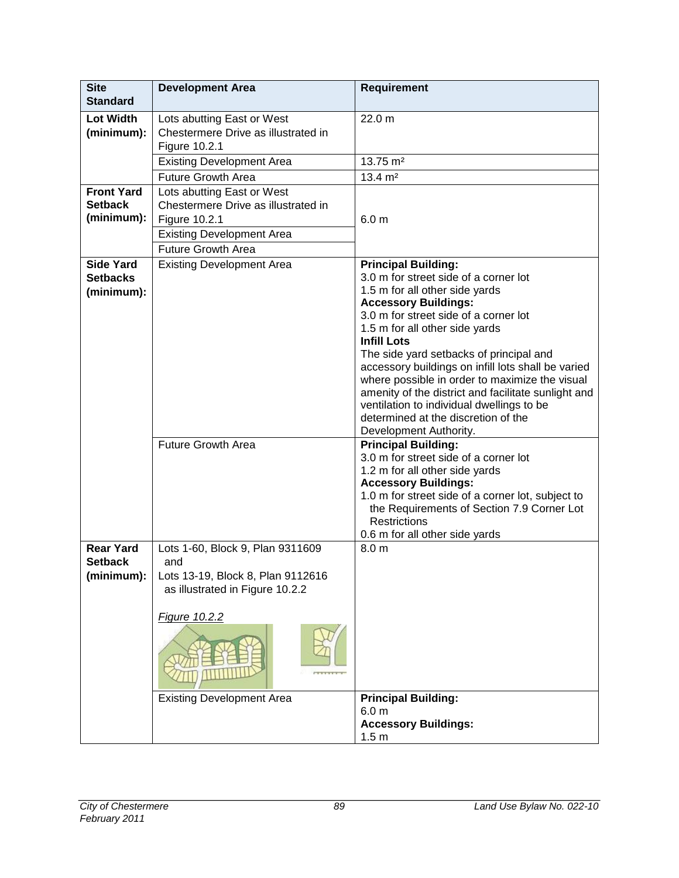| <b>Site</b><br><b>Standard</b>                    | <b>Development Area</b>                                                                                                                             | <b>Requirement</b>                                                                                                                                                                                                                                                                                                                                                                                                                                                                                                                                            |
|---------------------------------------------------|-----------------------------------------------------------------------------------------------------------------------------------------------------|---------------------------------------------------------------------------------------------------------------------------------------------------------------------------------------------------------------------------------------------------------------------------------------------------------------------------------------------------------------------------------------------------------------------------------------------------------------------------------------------------------------------------------------------------------------|
| <b>Lot Width</b><br>(minimum):                    | Lots abutting East or West<br>Chestermere Drive as illustrated in<br>Figure 10.2.1                                                                  | 22.0 m                                                                                                                                                                                                                                                                                                                                                                                                                                                                                                                                                        |
|                                                   | <b>Existing Development Area</b>                                                                                                                    | 13.75 m <sup>2</sup>                                                                                                                                                                                                                                                                                                                                                                                                                                                                                                                                          |
|                                                   | <b>Future Growth Area</b>                                                                                                                           | $13.4 \; \text{m}^2$                                                                                                                                                                                                                                                                                                                                                                                                                                                                                                                                          |
| <b>Front Yard</b><br><b>Setback</b><br>(minimum): | Lots abutting East or West<br>Chestermere Drive as illustrated in<br>Figure 10.2.1<br><b>Existing Development Area</b><br><b>Future Growth Area</b> | 6.0 <sub>m</sub>                                                                                                                                                                                                                                                                                                                                                                                                                                                                                                                                              |
| <b>Side Yard</b><br><b>Setbacks</b><br>(minimum): | <b>Existing Development Area</b>                                                                                                                    | <b>Principal Building:</b><br>3.0 m for street side of a corner lot<br>1.5 m for all other side yards<br><b>Accessory Buildings:</b><br>3.0 m for street side of a corner lot<br>1.5 m for all other side yards<br><b>Infill Lots</b><br>The side yard setbacks of principal and<br>accessory buildings on infill lots shall be varied<br>where possible in order to maximize the visual<br>amenity of the district and facilitate sunlight and<br>ventilation to individual dwellings to be<br>determined at the discretion of the<br>Development Authority. |
|                                                   | <b>Future Growth Area</b>                                                                                                                           | <b>Principal Building:</b><br>3.0 m for street side of a corner lot<br>1.2 m for all other side yards<br><b>Accessory Buildings:</b><br>1.0 m for street side of a corner lot, subject to<br>the Requirements of Section 7.9 Corner Lot<br><b>Restrictions</b><br>0.6 m for all other side yards                                                                                                                                                                                                                                                              |
| <b>Rear Yard</b><br><b>Setback</b><br>(minimum):  | Lots 1-60, Block 9, Plan 9311609<br>and<br>Lots 13-19, Block 8, Plan 9112616<br>as illustrated in Figure 10.2.2<br>Figure 10.2.2                    | 8.0 <sub>m</sub>                                                                                                                                                                                                                                                                                                                                                                                                                                                                                                                                              |
|                                                   | <b>Existing Development Area</b>                                                                                                                    | <b>Principal Building:</b><br>6.0 <sub>m</sub><br><b>Accessory Buildings:</b><br>1.5 <sub>m</sub>                                                                                                                                                                                                                                                                                                                                                                                                                                                             |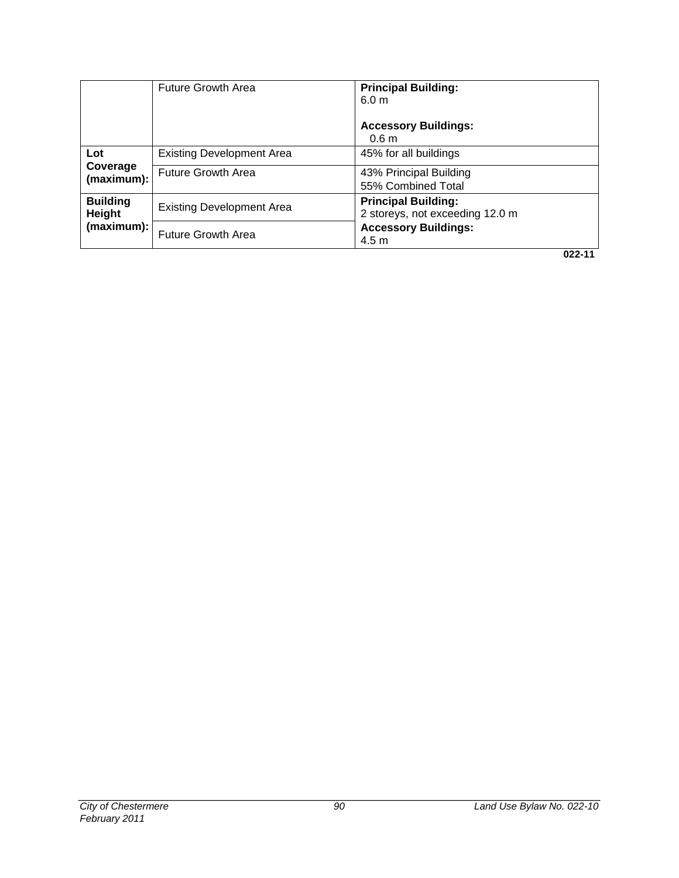|                           | <b>Future Growth Area</b>        | <b>Principal Building:</b><br>6.0 <sub>m</sub><br><b>Accessory Buildings:</b><br>0.6 <sub>m</sub> |
|---------------------------|----------------------------------|---------------------------------------------------------------------------------------------------|
| Lot                       | <b>Existing Development Area</b> | 45% for all buildings                                                                             |
| Coverage<br>(maximum):    | <b>Future Growth Area</b>        | 43% Principal Building<br>55% Combined Total                                                      |
| <b>Building</b><br>Height | <b>Existing Development Area</b> | <b>Principal Building:</b><br>2 storeys, not exceeding 12.0 m                                     |
| (maximum):                | <b>Future Growth Area</b>        | <b>Accessory Buildings:</b><br>4.5 m                                                              |
|                           |                                  | 022-11                                                                                            |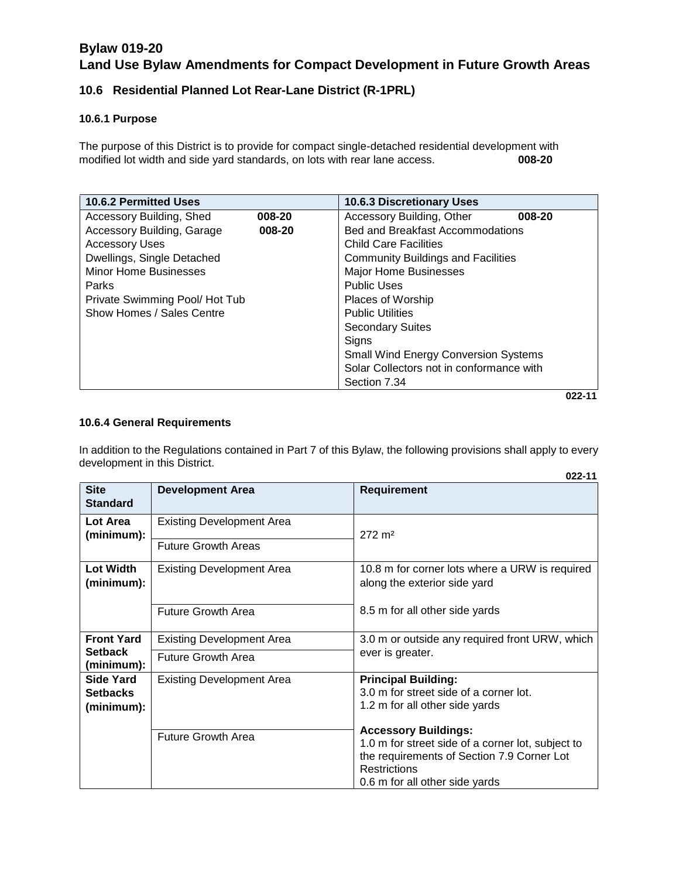### **10.6 Residential Planned Lot Rear-Lane District (R-1PRL)**

#### **10.6.1 Purpose**

The purpose of this District is to provide for compact single-detached residential development with modified lot width and side yard standards, on lots with rear lane access. **008-20**

| 10.6.2 Permitted Uses         |        | <b>10.6.3 Discretionary Uses</b>            |  |
|-------------------------------|--------|---------------------------------------------|--|
| Accessory Building, Shed      | 008-20 | Accessory Building, Other<br>008-20         |  |
| Accessory Building, Garage    | 008-20 | Bed and Breakfast Accommodations            |  |
| <b>Accessory Uses</b>         |        | <b>Child Care Facilities</b>                |  |
| Dwellings, Single Detached    |        | <b>Community Buildings and Facilities</b>   |  |
| <b>Minor Home Businesses</b>  |        | <b>Major Home Businesses</b>                |  |
| <b>Parks</b>                  |        | <b>Public Uses</b>                          |  |
| Private Swimming Pool/Hot Tub |        | Places of Worship                           |  |
| Show Homes / Sales Centre     |        | <b>Public Utilities</b>                     |  |
|                               |        | <b>Secondary Suites</b>                     |  |
|                               |        | Signs                                       |  |
|                               |        | <b>Small Wind Energy Conversion Systems</b> |  |
|                               |        | Solar Collectors not in conformance with    |  |
|                               |        | Section 7.34                                |  |
|                               |        | 022-11                                      |  |

#### **10.6.4 General Requirements**

In addition to the Regulations contained in Part 7 of this Bylaw, the following provisions shall apply to every development in this District.

|                                |                                  | 022-11                                                                         |
|--------------------------------|----------------------------------|--------------------------------------------------------------------------------|
| <b>Site</b><br><b>Standard</b> | <b>Development Area</b>          | <b>Requirement</b>                                                             |
| Lot Area<br>(minimum):         | <b>Existing Development Area</b> | $272 \; \text{m}^2$                                                            |
|                                | <b>Future Growth Areas</b>       |                                                                                |
| <b>Lot Width</b><br>(minimum): | <b>Existing Development Area</b> | 10.8 m for corner lots where a URW is required<br>along the exterior side yard |
|                                | <b>Future Growth Area</b>        | 8.5 m for all other side yards                                                 |
| <b>Front Yard</b>              | <b>Existing Development Area</b> | 3.0 m or outside any required front URW, which                                 |
| <b>Setback</b><br>(minimum):   | <b>Future Growth Area</b>        | ever is greater.                                                               |
| <b>Side Yard</b>               | <b>Existing Development Area</b> | <b>Principal Building:</b>                                                     |
| <b>Setbacks</b>                |                                  | 3.0 m for street side of a corner lot.                                         |
| (minimum):                     |                                  | 1.2 m for all other side yards                                                 |
|                                |                                  | <b>Accessory Buildings:</b>                                                    |
|                                | <b>Future Growth Area</b>        | 1.0 m for street side of a corner lot, subject to                              |
|                                |                                  | the requirements of Section 7.9 Corner Lot                                     |
|                                |                                  | <b>Restrictions</b>                                                            |
|                                |                                  | 0.6 m for all other side yards                                                 |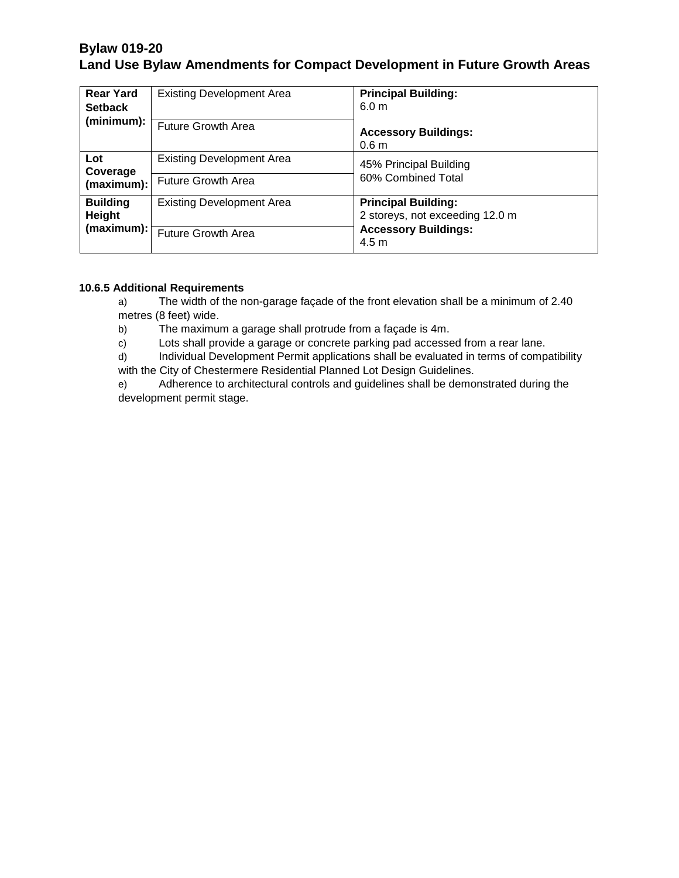| <b>Rear Yard</b><br><b>Setback</b><br>(minimum): | <b>Existing Development Area</b><br>Future Growth Area        | <b>Principal Building:</b><br>6.0 <sub>m</sub><br><b>Accessory Buildings:</b><br>0.6 <sub>m</sub>                |
|--------------------------------------------------|---------------------------------------------------------------|------------------------------------------------------------------------------------------------------------------|
| Lot<br>Coverage<br>(maximum):                    | <b>Existing Development Area</b><br><b>Future Growth Area</b> | 45% Principal Building<br>60% Combined Total                                                                     |
| <b>Building</b><br>Height<br>(maximum):          | <b>Existing Development Area</b><br><b>Future Growth Area</b> | <b>Principal Building:</b><br>2 storeys, not exceeding 12.0 m<br><b>Accessory Buildings:</b><br>4.5 <sub>m</sub> |

#### **10.6.5 Additional Requirements**

a) The width of the non-garage façade of the front elevation shall be a minimum of 2.40 metres (8 feet) wide.

b) The maximum a garage shall protrude from a façade is 4m.

c) Lots shall provide a garage or concrete parking pad accessed from a rear lane.

d) Individual Development Permit applications shall be evaluated in terms of compatibility with the City of Chestermere Residential Planned Lot Design Guidelines.

e) Adherence to architectural controls and guidelines shall be demonstrated during the development permit stage.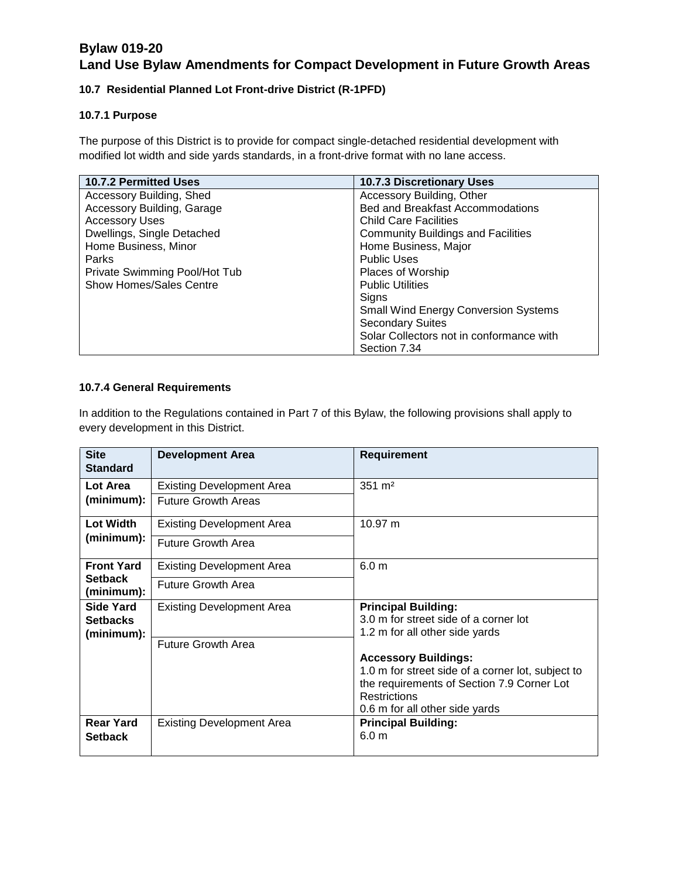#### **10.7 Residential Planned Lot Front-drive District (R-1PFD)**

#### **10.7.1 Purpose**

The purpose of this District is to provide for compact single-detached residential development with modified lot width and side yards standards, in a front-drive format with no lane access.

| 10.7.2 Permitted Uses             | <b>10.7.3 Discretionary Uses</b>            |
|-----------------------------------|---------------------------------------------|
| Accessory Building, Shed          | Accessory Building, Other                   |
| <b>Accessory Building, Garage</b> | <b>Bed and Breakfast Accommodations</b>     |
| <b>Accessory Uses</b>             | <b>Child Care Facilities</b>                |
| Dwellings, Single Detached        | <b>Community Buildings and Facilities</b>   |
| Home Business, Minor              | Home Business, Major                        |
| <b>Parks</b>                      | <b>Public Uses</b>                          |
| Private Swimming Pool/Hot Tub     | Places of Worship                           |
| <b>Show Homes/Sales Centre</b>    | <b>Public Utilities</b>                     |
|                                   | Sians                                       |
|                                   | <b>Small Wind Energy Conversion Systems</b> |
|                                   | <b>Secondary Suites</b>                     |
|                                   | Solar Collectors not in conformance with    |
|                                   | Section 7.34                                |

#### **10.7.4 General Requirements**

In addition to the Regulations contained in Part 7 of this Bylaw, the following provisions shall apply to every development in this District.

| <b>Site</b><br><b>Standard</b>     | <b>Development Area</b>          | <b>Requirement</b>                                                      |
|------------------------------------|----------------------------------|-------------------------------------------------------------------------|
| Lot Area                           | <b>Existing Development Area</b> | $351 \text{ m}^2$                                                       |
| (minimum):                         | <b>Future Growth Areas</b>       |                                                                         |
| Lot Width                          | <b>Existing Development Area</b> | 10.97 m                                                                 |
| (minimum):                         | <b>Future Growth Area</b>        |                                                                         |
| <b>Front Yard</b>                  | <b>Existing Development Area</b> | 6.0 <sub>m</sub>                                                        |
| <b>Setback</b><br>(minimum):       | <b>Future Growth Area</b>        |                                                                         |
| <b>Side Yard</b>                   | <b>Existing Development Area</b> | <b>Principal Building:</b>                                              |
| <b>Setbacks</b>                    |                                  | 3.0 m for street side of a corner lot<br>1.2 m for all other side yards |
| (minimum):                         | <b>Future Growth Area</b>        |                                                                         |
|                                    |                                  | <b>Accessory Buildings:</b>                                             |
|                                    |                                  | 1.0 m for street side of a corner lot, subject to                       |
|                                    |                                  | the requirements of Section 7.9 Corner Lot<br><b>Restrictions</b>       |
|                                    |                                  | 0.6 m for all other side yards                                          |
| <b>Rear Yard</b><br><b>Setback</b> | <b>Existing Development Area</b> | <b>Principal Building:</b><br>6.0 <sub>m</sub>                          |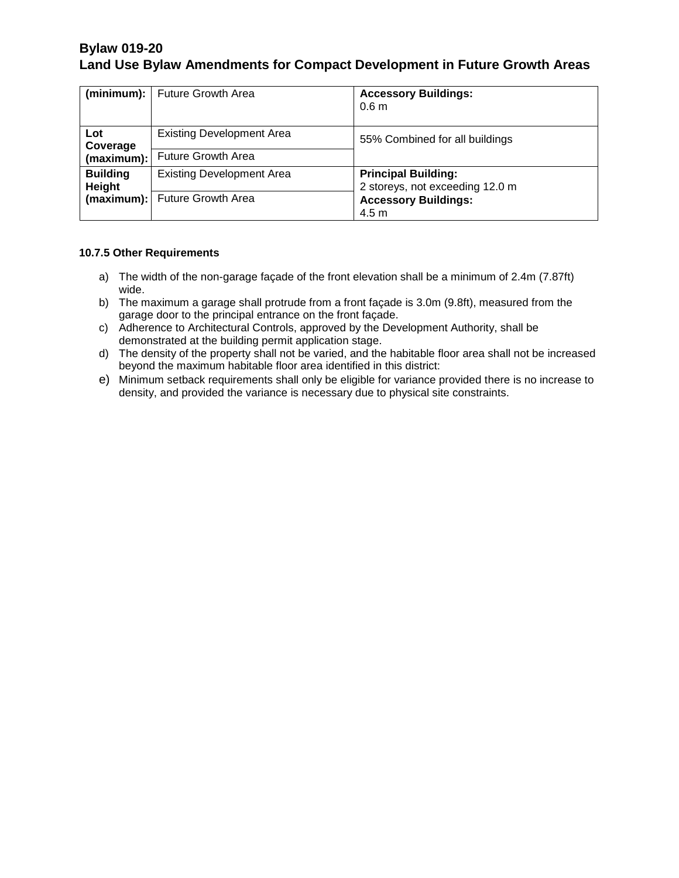|                               | (minimum):   Future Growth Area                                   | <b>Accessory Buildings:</b><br>0.6 <sub>m</sub>                                                                  |
|-------------------------------|-------------------------------------------------------------------|------------------------------------------------------------------------------------------------------------------|
| Lot<br>Coverage<br>(maximum): | <b>Existing Development Area</b><br><b>Future Growth Area</b>     | 55% Combined for all buildings                                                                                   |
| <b>Building</b><br>Height     | <b>Existing Development Area</b><br>(maximum): Future Growth Area | <b>Principal Building:</b><br>2 storeys, not exceeding 12.0 m<br><b>Accessory Buildings:</b><br>4.5 <sub>m</sub> |

#### **10.7.5 Other Requirements**

- a) The width of the non-garage façade of the front elevation shall be a minimum of 2.4m (7.87ft) wide.
- b) The maximum a garage shall protrude from a front façade is 3.0m (9.8ft), measured from the garage door to the principal entrance on the front façade.
- c) Adherence to Architectural Controls, approved by the Development Authority, shall be demonstrated at the building permit application stage.
- d) The density of the property shall not be varied, and the habitable floor area shall not be increased beyond the maximum habitable floor area identified in this district:
- e) Minimum setback requirements shall only be eligible for variance provided there is no increase to density, and provided the variance is necessary due to physical site constraints.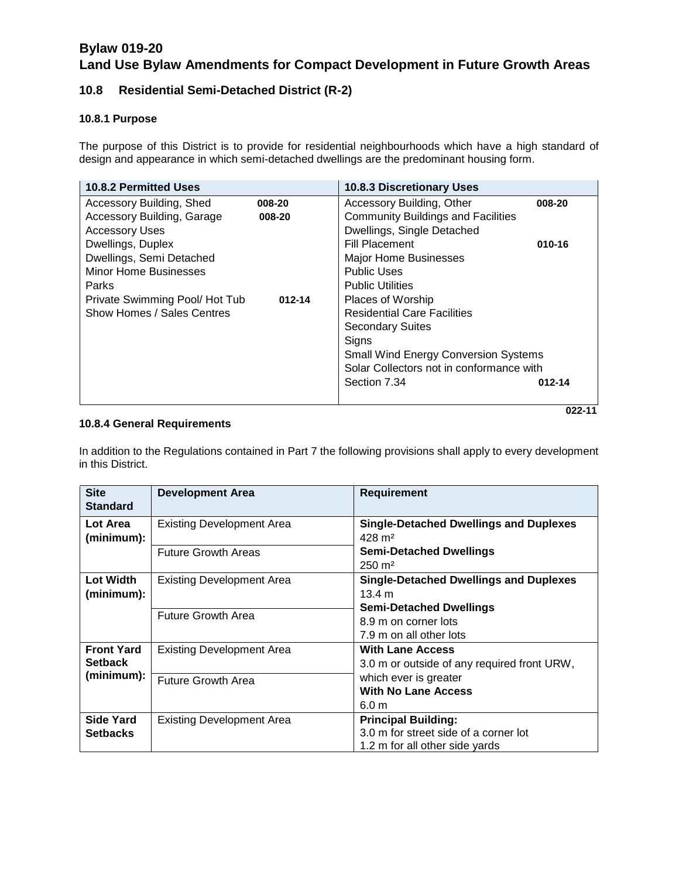### **10.8 Residential Semi-Detached District (R-2)**

#### **10.8.1 Purpose**

The purpose of this District is to provide for residential neighbourhoods which have a high standard of design and appearance in which semi-detached dwellings are the predominant housing form.

| <b>10.8.2 Permitted Uses</b>  |            | 10.8.3 Discretionary Uses                   |        |
|-------------------------------|------------|---------------------------------------------|--------|
| Accessory Building, Shed      | 008-20     | Accessory Building, Other                   | 008-20 |
| Accessory Building, Garage    | 008-20     | <b>Community Buildings and Facilities</b>   |        |
| <b>Accessory Uses</b>         |            | Dwellings, Single Detached                  |        |
| Dwellings, Duplex             |            | <b>Fill Placement</b>                       | 010-16 |
| Dwellings, Semi Detached      |            | <b>Major Home Businesses</b>                |        |
| <b>Minor Home Businesses</b>  |            | <b>Public Uses</b>                          |        |
| Parks                         |            | <b>Public Utilities</b>                     |        |
| Private Swimming Pool/Hot Tub | $012 - 14$ | Places of Worship                           |        |
| Show Homes / Sales Centres    |            | <b>Residential Care Facilities</b>          |        |
|                               |            | <b>Secondary Suites</b>                     |        |
|                               |            | Signs                                       |        |
|                               |            | <b>Small Wind Energy Conversion Systems</b> |        |
|                               |            | Solar Collectors not in conformance with    |        |
|                               |            | Section 7.34                                | 012-14 |
|                               |            |                                             |        |

**022-11** 

#### **10.8.4 General Requirements**

In addition to the Regulations contained in Part 7 the following provisions shall apply to every development in this District.

| <b>Site</b><br><b>Standard</b>      | <b>Development Area</b>                                       | <b>Requirement</b>                                                                                                                           |
|-------------------------------------|---------------------------------------------------------------|----------------------------------------------------------------------------------------------------------------------------------------------|
| Lot Area<br>(minimum):              | Existing Development Area<br><b>Future Growth Areas</b>       | <b>Single-Detached Dwellings and Duplexes</b><br>$428 \text{ m}^2$<br><b>Semi-Detached Dwellings</b><br>$250 \text{ m}^2$                    |
| <b>Lot Width</b><br>(minimum):      | <b>Existing Development Area</b><br><b>Future Growth Area</b> | <b>Single-Detached Dwellings and Duplexes</b><br>13.4 m<br><b>Semi-Detached Dwellings</b><br>8.9 m on corner lots<br>7.9 m on all other lots |
| <b>Front Yard</b><br><b>Setback</b> | <b>Existing Development Area</b>                              | <b>With Lane Access</b><br>3.0 m or outside of any required front URW,                                                                       |
| (minimum):                          | <b>Future Growth Area</b>                                     | which ever is greater<br><b>With No Lane Access</b><br>6.0 <sub>m</sub>                                                                      |
| <b>Side Yard</b><br><b>Setbacks</b> | <b>Existing Development Area</b>                              | <b>Principal Building:</b><br>3.0 m for street side of a corner lot<br>1.2 m for all other side yards                                        |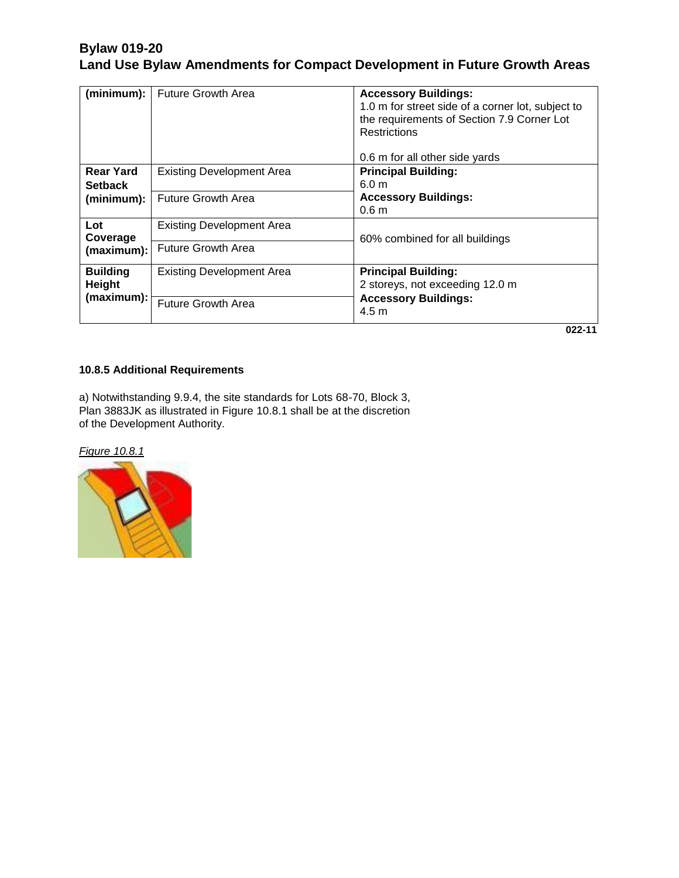| (minimum):                         | <b>Future Growth Area</b>        | <b>Accessory Buildings:</b><br>1.0 m for street side of a corner lot, subject to<br>the requirements of Section 7.9 Corner Lot<br>Restrictions<br>0.6 m for all other side yards |
|------------------------------------|----------------------------------|----------------------------------------------------------------------------------------------------------------------------------------------------------------------------------|
| <b>Rear Yard</b><br><b>Setback</b> | <b>Existing Development Area</b> | <b>Principal Building:</b><br>6.0 <sub>m</sub>                                                                                                                                   |
| (minimum):                         | <b>Future Growth Area</b>        | <b>Accessory Buildings:</b><br>0.6 <sub>m</sub>                                                                                                                                  |
| Lot<br>Coverage                    | <b>Existing Development Area</b> | 60% combined for all buildings                                                                                                                                                   |
| (maximum):                         | <b>Future Growth Area</b>        |                                                                                                                                                                                  |
| <b>Building</b><br>Height          | <b>Existing Development Area</b> | <b>Principal Building:</b><br>2 storeys, not exceeding 12.0 m                                                                                                                    |
| (maximum):                         | <b>Future Growth Area</b>        | <b>Accessory Buildings:</b><br>4.5 <sub>m</sub>                                                                                                                                  |
|                                    |                                  | 022-11                                                                                                                                                                           |

**10.8.5 Additional Requirements** 

a) Notwithstanding 9.9.4, the site standards for Lots 68-70, Block 3, Plan 3883JK as illustrated in Figure 10.8.1 shall be at the discretion of the Development Authority.

*Figure 10.8.1*

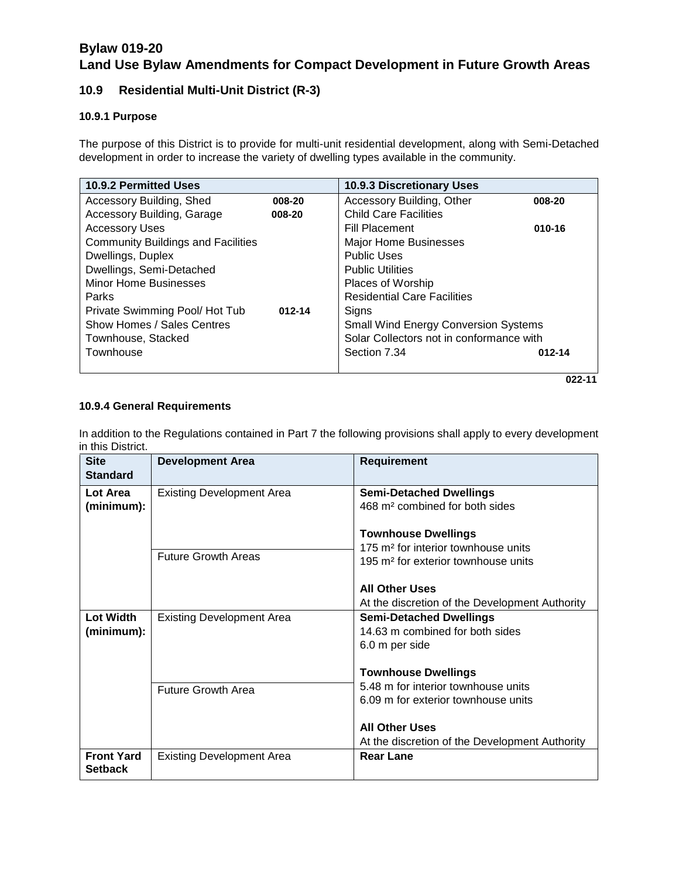### **10.9 Residential Multi-Unit District (R-3)**

#### **10.9.1 Purpose**

The purpose of this District is to provide for multi-unit residential development, along with Semi-Detached development in order to increase the variety of dwelling types available in the community.

| 10.9.2 Permitted Uses                     |            | <b>10.9.3 Discretionary Uses</b>            |        |
|-------------------------------------------|------------|---------------------------------------------|--------|
| Accessory Building, Shed                  | 008-20     | Accessory Building, Other                   | 008-20 |
| Accessory Building, Garage                | 008-20     | <b>Child Care Facilities</b>                |        |
| <b>Accessory Uses</b>                     |            | <b>Fill Placement</b>                       | 010-16 |
| <b>Community Buildings and Facilities</b> |            | <b>Major Home Businesses</b>                |        |
| Dwellings, Duplex                         |            | <b>Public Uses</b>                          |        |
| Dwellings, Semi-Detached                  |            | <b>Public Utilities</b>                     |        |
| <b>Minor Home Businesses</b>              |            | <b>Places of Worship</b>                    |        |
| Parks                                     |            | <b>Residential Care Facilities</b>          |        |
| Private Swimming Pool/Hot Tub             | $012 - 14$ | Signs                                       |        |
| Show Homes / Sales Centres                |            | <b>Small Wind Energy Conversion Systems</b> |        |
| Townhouse, Stacked                        |            | Solar Collectors not in conformance with    |        |
| Townhouse                                 |            | Section 7.34                                | 012-14 |
|                                           |            |                                             |        |

**022-11** 

#### **10.9.4 General Requirements**

In addition to the Regulations contained in Part 7 the following provisions shall apply to every development in this District.

| <b>Site</b><br><b>Standard</b>      | <b>Development Area</b>          | <b>Requirement</b>                                                                                                               |
|-------------------------------------|----------------------------------|----------------------------------------------------------------------------------------------------------------------------------|
| Lot Area<br>(minimum):              | <b>Existing Development Area</b> | <b>Semi-Detached Dwellings</b><br>468 m <sup>2</sup> combined for both sides                                                     |
|                                     | <b>Future Growth Areas</b>       | <b>Townhouse Dwellings</b><br>175 m <sup>2</sup> for interior townhouse units<br>195 m <sup>2</sup> for exterior townhouse units |
|                                     |                                  | <b>All Other Uses</b><br>At the discretion of the Development Authority                                                          |
| <b>Lot Width</b><br>(minimum):      | <b>Existing Development Area</b> | <b>Semi-Detached Dwellings</b><br>14.63 m combined for both sides<br>6.0 m per side                                              |
|                                     |                                  | <b>Townhouse Dwellings</b>                                                                                                       |
|                                     | <b>Future Growth Area</b>        | 5.48 m for interior townhouse units<br>6.09 m for exterior townhouse units                                                       |
|                                     |                                  | <b>All Other Uses</b><br>At the discretion of the Development Authority                                                          |
| <b>Front Yard</b><br><b>Setback</b> | <b>Existing Development Area</b> | <b>Rear Lane</b>                                                                                                                 |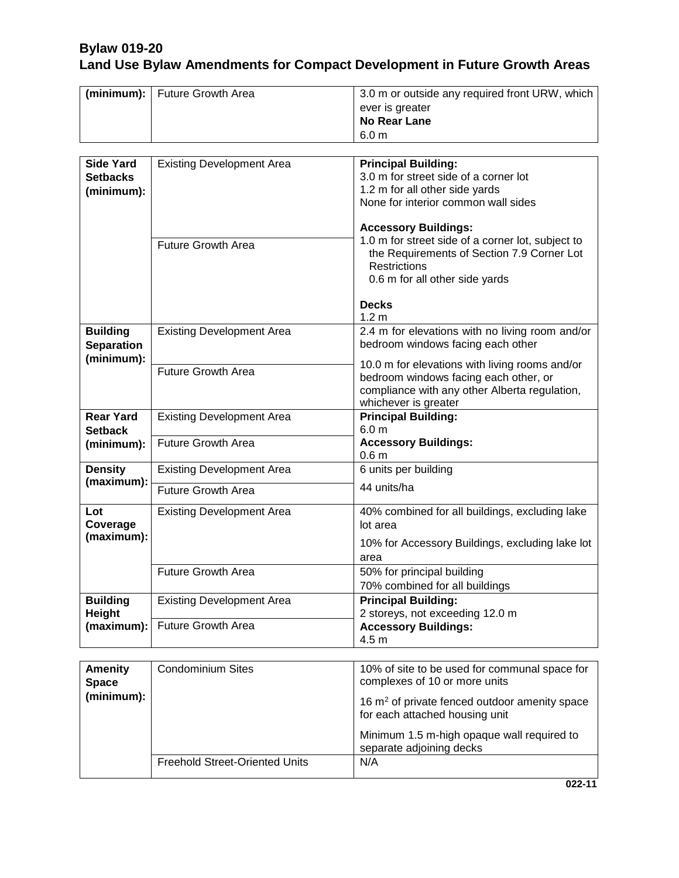| (minimum):   Future Growth Area | 3.0 m or outside any required front URW, which |
|---------------------------------|------------------------------------------------|
|                                 | ever is greater                                |
|                                 | No Rear Lane                                   |
|                                 | 6.0 m                                          |

| <b>Side Yard</b><br><b>Setbacks</b><br>(minimum):  | <b>Existing Development Area</b><br><b>Future Growth Area</b> | <b>Principal Building:</b><br>3.0 m for street side of a corner lot<br>1.2 m for all other side yards<br>None for interior common wall sides<br><b>Accessory Buildings:</b><br>1.0 m for street side of a corner lot, subject to<br>the Requirements of Section 7.9 Corner Lot |
|----------------------------------------------------|---------------------------------------------------------------|--------------------------------------------------------------------------------------------------------------------------------------------------------------------------------------------------------------------------------------------------------------------------------|
|                                                    |                                                               | <b>Restrictions</b><br>0.6 m for all other side yards<br><b>Decks</b><br>1.2 <sub>m</sub>                                                                                                                                                                                      |
| <b>Building</b><br><b>Separation</b><br>(minimum): | <b>Existing Development Area</b>                              | 2.4 m for elevations with no living room and/or<br>bedroom windows facing each other                                                                                                                                                                                           |
|                                                    | <b>Future Growth Area</b>                                     | 10.0 m for elevations with living rooms and/or<br>bedroom windows facing each other, or<br>compliance with any other Alberta regulation,<br>whichever is greater                                                                                                               |
| <b>Rear Yard</b><br><b>Setback</b>                 | <b>Existing Development Area</b>                              | <b>Principal Building:</b><br>6.0 <sub>m</sub>                                                                                                                                                                                                                                 |
| (minimum):                                         | <b>Future Growth Area</b>                                     | <b>Accessory Buildings:</b><br>0.6 <sub>m</sub>                                                                                                                                                                                                                                |
| <b>Density</b><br>(maximum):                       | <b>Existing Development Area</b>                              | 6 units per building                                                                                                                                                                                                                                                           |
|                                                    | <b>Future Growth Area</b>                                     | 44 units/ha                                                                                                                                                                                                                                                                    |
| Lot<br>Coverage                                    | <b>Existing Development Area</b>                              | 40% combined for all buildings, excluding lake<br>lot area                                                                                                                                                                                                                     |
| (maximum):                                         |                                                               | 10% for Accessory Buildings, excluding lake lot<br>area                                                                                                                                                                                                                        |
|                                                    | <b>Future Growth Area</b>                                     | 50% for principal building<br>70% combined for all buildings                                                                                                                                                                                                                   |
| <b>Building</b><br>Height                          | <b>Existing Development Area</b>                              | <b>Principal Building:</b><br>2 storeys, not exceeding 12.0 m                                                                                                                                                                                                                  |
| (maximum):                                         | <b>Future Growth Area</b>                                     | <b>Accessory Buildings:</b><br>4.5 m                                                                                                                                                                                                                                           |

| <b>Amenity</b><br><b>Space</b> | <b>Condominium Sites</b>              | 10% of site to be used for communal space for<br>complexes of 10 or more units              |
|--------------------------------|---------------------------------------|---------------------------------------------------------------------------------------------|
| (minimum):                     |                                       | 16 m <sup>2</sup> of private fenced outdoor amenity space<br>for each attached housing unit |
|                                |                                       | Minimum 1.5 m-high opaque wall required to<br>separate adjoining decks                      |
|                                | <b>Freehold Street-Oriented Units</b> | N/A                                                                                         |